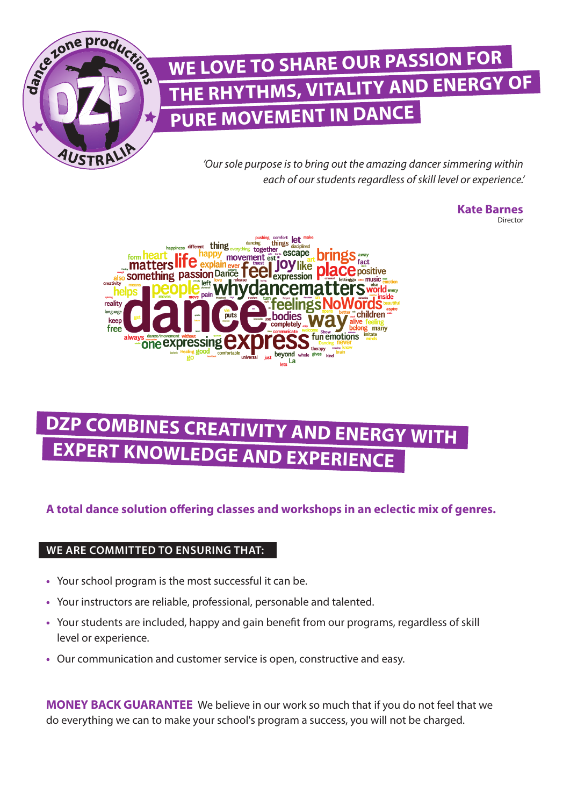

## **WE LOVE TO SHARE OUR PASSION FOR THE RHYTHMS, VITALITY AND ENERGY OF PURE MOVEMENT IN DANCE**

*'Our sole purpose is to bring out the amazing dancer simmering within each of our students regardless of skill level or experience.'*

> **Kate Barnes**  Director



## **DZP COMBINES CREATIVITY AND ENERGY WITH EXPERT KNOWLEDGE AND EXPERIENCE**

### **A total dance solution offering classes and workshops in an eclectic mix of genres.**

#### **WE ARE COMMITTED TO ENSURING THAT:**

- **•** Your school program is the most successful it can be.
- **•** Your instructors are reliable, professional, personable and talented.
- **•** Your students are included, happy and gain benefit from our programs, regardless of skill level or experience.
- **•** Our communication and customer service is open, constructive and easy.

**MONEY BACK GUARANTEE** We believe in our work so much that if you do not feel that we do everything we can to make your school's program a success, you will not be charged.